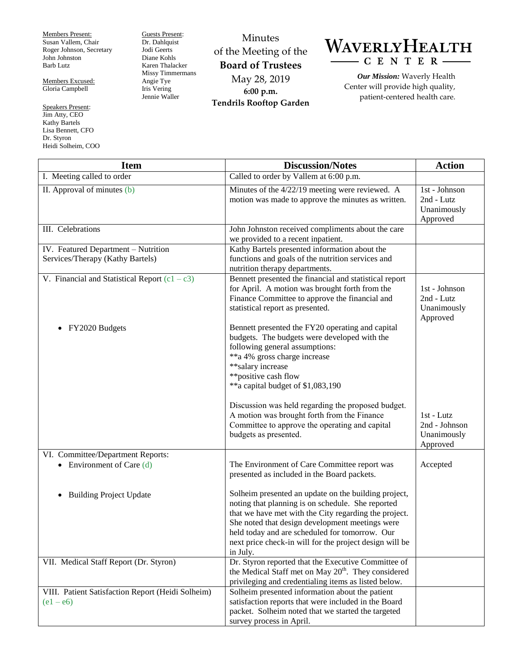Members Present: Susan Vallem, Chair Roger Johnson, Secretary John Johnston Barb Lutz

Members Excused: Gloria Campbell

Speakers Present: Jim Atty, CEO Kathy Bartels Lisa Bennett, CFO Dr. Styron Heidi Solheim, COO Guests Present: Dr. Dahlquist Jodi Geerts Diane Kohls Karen Thalacker Missy Timmermans Angie Tye Iris Vering Jennie Waller

Minutes of the Meeting of the **Board of Trustees** May 28, 2019 **6:00 p.m. Tendrils Rooftop Garden**



*Our Mission:* Waverly Health Center will provide high quality, patient-centered health care.

| <b>Item</b>                                                             | <b>Discussion/Notes</b>                                                                                                                                                                                                                                                                                                                        | <b>Action</b>                                          |
|-------------------------------------------------------------------------|------------------------------------------------------------------------------------------------------------------------------------------------------------------------------------------------------------------------------------------------------------------------------------------------------------------------------------------------|--------------------------------------------------------|
| I. Meeting called to order                                              | Called to order by Vallem at 6:00 p.m.                                                                                                                                                                                                                                                                                                         |                                                        |
| II. Approval of minutes $(b)$                                           | Minutes of the 4/22/19 meeting were reviewed. A<br>motion was made to approve the minutes as written.                                                                                                                                                                                                                                          | 1st - Johnson<br>2nd - Lutz<br>Unanimously<br>Approved |
| III. Celebrations                                                       | John Johnston received compliments about the care<br>we provided to a recent inpatient.                                                                                                                                                                                                                                                        |                                                        |
| IV. Featured Department - Nutrition<br>Services/Therapy (Kathy Bartels) | Kathy Bartels presented information about the<br>functions and goals of the nutrition services and<br>nutrition therapy departments.                                                                                                                                                                                                           |                                                        |
| V. Financial and Statistical Report $(c1 - c3)$                         | Bennett presented the financial and statistical report<br>for April. A motion was brought forth from the<br>Finance Committee to approve the financial and<br>statistical report as presented.                                                                                                                                                 | 1st - Johnson<br>2nd - Lutz<br>Unanimously<br>Approved |
| FY2020 Budgets                                                          | Bennett presented the FY20 operating and capital<br>budgets. The budgets were developed with the<br>following general assumptions:<br>**a 4% gross charge increase<br>**salary increase<br>**positive cash flow<br>**a capital budget of \$1,083,190                                                                                           |                                                        |
|                                                                         | Discussion was held regarding the proposed budget.<br>A motion was brought forth from the Finance<br>Committee to approve the operating and capital<br>budgets as presented.                                                                                                                                                                   | 1st - Lutz<br>2nd - Johnson<br>Unanimously<br>Approved |
| VI. Committee/Department Reports:<br>• Environment of Care $(d)$        | The Environment of Care Committee report was<br>presented as included in the Board packets.                                                                                                                                                                                                                                                    | Accepted                                               |
| <b>Building Project Update</b>                                          | Solheim presented an update on the building project,<br>noting that planning is on schedule. She reported<br>that we have met with the City regarding the project.<br>She noted that design development meetings were<br>held today and are scheduled for tomorrow. Our<br>next price check-in will for the project design will be<br>in July. |                                                        |
| VII. Medical Staff Report (Dr. Styron)                                  | Dr. Styron reported that the Executive Committee of<br>the Medical Staff met on May 20 <sup>th</sup> . They considered<br>privileging and credentialing items as listed below.                                                                                                                                                                 |                                                        |
| VIII. Patient Satisfaction Report (Heidi Solheim)<br>$(e1 - e6)$        | Solheim presented information about the patient<br>satisfaction reports that were included in the Board<br>packet. Solheim noted that we started the targeted<br>survey process in April.                                                                                                                                                      |                                                        |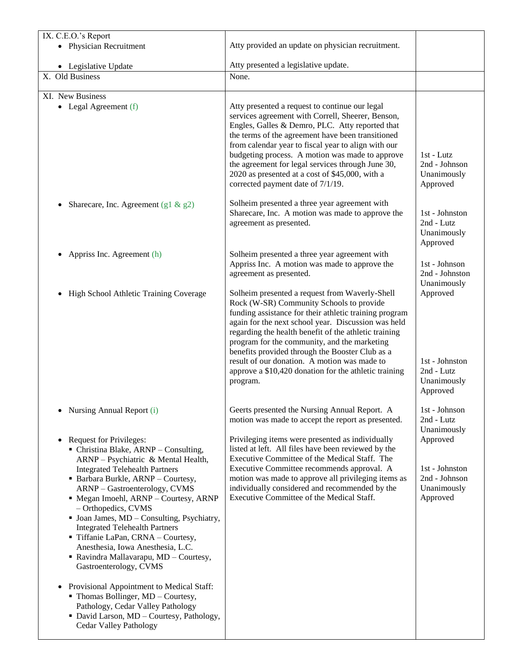| IX. C.E.O.'s Report                                                                                                                                                                                                                                                                                                               |                                                                                                                                                                                                                                                                                                                                                                                                                                                                                              |                                                                                                          |
|-----------------------------------------------------------------------------------------------------------------------------------------------------------------------------------------------------------------------------------------------------------------------------------------------------------------------------------|----------------------------------------------------------------------------------------------------------------------------------------------------------------------------------------------------------------------------------------------------------------------------------------------------------------------------------------------------------------------------------------------------------------------------------------------------------------------------------------------|----------------------------------------------------------------------------------------------------------|
| • Physician Recruitment                                                                                                                                                                                                                                                                                                           | Atty provided an update on physician recruitment.                                                                                                                                                                                                                                                                                                                                                                                                                                            |                                                                                                          |
| • Legislative Update                                                                                                                                                                                                                                                                                                              | Atty presented a legislative update.                                                                                                                                                                                                                                                                                                                                                                                                                                                         |                                                                                                          |
| X. Old Business                                                                                                                                                                                                                                                                                                                   | None.                                                                                                                                                                                                                                                                                                                                                                                                                                                                                        |                                                                                                          |
| XI. New Business                                                                                                                                                                                                                                                                                                                  |                                                                                                                                                                                                                                                                                                                                                                                                                                                                                              |                                                                                                          |
| • Legal Agreement $(f)$                                                                                                                                                                                                                                                                                                           | Atty presented a request to continue our legal<br>services agreement with Correll, Sheerer, Benson,<br>Engles, Galles & Demro, PLC. Atty reported that<br>the terms of the agreement have been transitioned<br>from calendar year to fiscal year to align with our<br>budgeting process. A motion was made to approve<br>the agreement for legal services through June 30,<br>2020 as presented at a cost of \$45,000, with a<br>corrected payment date of 7/1/19.                           | 1st - Lutz<br>2nd - Johnson<br>Unanimously<br>Approved                                                   |
| Sharecare, Inc. Agreement (g1 & $g$ 2)                                                                                                                                                                                                                                                                                            | Solheim presented a three year agreement with<br>Sharecare, Inc. A motion was made to approve the<br>agreement as presented.                                                                                                                                                                                                                                                                                                                                                                 | 1st - Johnston<br>2nd - Lutz<br>Unanimously<br>Approved                                                  |
| Appriss Inc. Agreement (h)                                                                                                                                                                                                                                                                                                        | Solheim presented a three year agreement with<br>Appriss Inc. A motion was made to approve the<br>agreement as presented.                                                                                                                                                                                                                                                                                                                                                                    | 1st - Johnson<br>2nd - Johnston<br>Unanimously                                                           |
| High School Athletic Training Coverage                                                                                                                                                                                                                                                                                            | Solheim presented a request from Waverly-Shell<br>Rock (W-SR) Community Schools to provide<br>funding assistance for their athletic training program<br>again for the next school year. Discussion was held<br>regarding the health benefit of the athletic training<br>program for the community, and the marketing<br>benefits provided through the Booster Club as a<br>result of our donation. A motion was made to<br>approve a \$10,420 donation for the athletic training<br>program. | Approved<br>1st - Johnston<br>2nd - Lutz<br>Unanimously<br>Approved                                      |
| Nursing Annual Report (i)<br>Request for Privileges:<br>$\bullet$<br>• Christina Blake, ARNP – Consulting,<br>ARNP - Psychiatric & Mental Health,<br><b>Integrated Telehealth Partners</b><br>• Barbara Burkle, ARNP - Courtesy,                                                                                                  | Geerts presented the Nursing Annual Report. A<br>motion was made to accept the report as presented.<br>Privileging items were presented as individually<br>listed at left. All files have been reviewed by the<br>Executive Committee of the Medical Staff. The<br>Executive Committee recommends approval. A<br>motion was made to approve all privileging items as                                                                                                                         | 1st - Johnson<br>2nd - Lutz<br>Unanimously<br>Approved<br>1st - Johnston<br>2nd - Johnson<br>Unanimously |
| ARNP - Gastroenterology, CVMS<br>• Megan Imoehl, ARNP - Courtesy, ARNP<br>- Orthopedics, CVMS<br>• Joan James, MD - Consulting, Psychiatry,<br><b>Integrated Telehealth Partners</b><br>Tiffanie LaPan, CRNA - Courtesy,<br>Anesthesia, Iowa Anesthesia, L.C.<br>• Ravindra Mallavarapu, MD - Courtesy,<br>Gastroenterology, CVMS | individually considered and recommended by the<br>Executive Committee of the Medical Staff.                                                                                                                                                                                                                                                                                                                                                                                                  | Approved                                                                                                 |
| Provisional Appointment to Medical Staff:<br>$\bullet$<br>• Thomas Bollinger, MD - Courtesy,<br>Pathology, Cedar Valley Pathology<br>• David Larson, MD - Courtesy, Pathology,<br>Cedar Valley Pathology                                                                                                                          |                                                                                                                                                                                                                                                                                                                                                                                                                                                                                              |                                                                                                          |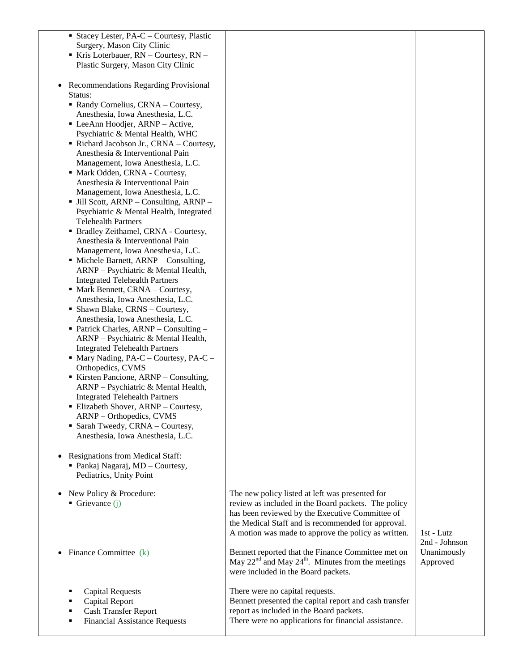| • Stacey Lester, PA-C – Courtesy, Plastic                                   |                                                                                                           |               |
|-----------------------------------------------------------------------------|-----------------------------------------------------------------------------------------------------------|---------------|
| Surgery, Mason City Clinic                                                  |                                                                                                           |               |
| Kris Loterbauer, RN - Courtesy, RN -                                        |                                                                                                           |               |
| Plastic Surgery, Mason City Clinic                                          |                                                                                                           |               |
| Recommendations Regarding Provisional                                       |                                                                                                           |               |
| Status:                                                                     |                                                                                                           |               |
| Randy Cornelius, CRNA - Courtesy,                                           |                                                                                                           |               |
| Anesthesia, Iowa Anesthesia, L.C.                                           |                                                                                                           |               |
| • LeeAnn Hoodjer, ARNP - Active,                                            |                                                                                                           |               |
| Psychiatric & Mental Health, WHC                                            |                                                                                                           |               |
| Richard Jacobson Jr., CRNA - Courtesy,<br>Anesthesia & Interventional Pain  |                                                                                                           |               |
| Management, Iowa Anesthesia, L.C.                                           |                                                                                                           |               |
| • Mark Odden, CRNA - Courtesy,                                              |                                                                                                           |               |
| Anesthesia & Interventional Pain                                            |                                                                                                           |               |
| Management, Iowa Anesthesia, L.C.                                           |                                                                                                           |               |
| <b>Jill Scott, ARNP</b> – Consulting, ARNP –                                |                                                                                                           |               |
| Psychiatric & Mental Health, Integrated                                     |                                                                                                           |               |
| <b>Telehealth Partners</b><br>• Bradley Zeithamel, CRNA - Courtesy,         |                                                                                                           |               |
| Anesthesia & Interventional Pain                                            |                                                                                                           |               |
| Management, Iowa Anesthesia, L.C.                                           |                                                                                                           |               |
| • Michele Barnett, ARNP – Consulting,                                       |                                                                                                           |               |
| ARNP - Psychiatric & Mental Health,                                         |                                                                                                           |               |
| <b>Integrated Telehealth Partners</b>                                       |                                                                                                           |               |
| • Mark Bennett, CRNA - Courtesy,                                            |                                                                                                           |               |
| Anesthesia, Iowa Anesthesia, L.C.<br>• Shawn Blake, CRNS - Courtesy,        |                                                                                                           |               |
| Anesthesia, Iowa Anesthesia, L.C.                                           |                                                                                                           |               |
| • Patrick Charles, ARNP – Consulting –                                      |                                                                                                           |               |
| ARNP - Psychiatric & Mental Health,                                         |                                                                                                           |               |
| <b>Integrated Telehealth Partners</b>                                       |                                                                                                           |               |
| $\blacksquare$ Mary Nading, PA-C – Courtesy, PA-C –                         |                                                                                                           |               |
| Orthopedics, CVMS                                                           |                                                                                                           |               |
| Kirsten Pancione, ARNP – Consulting,<br>ARNP - Psychiatric & Mental Health, |                                                                                                           |               |
| <b>Integrated Telehealth Partners</b>                                       |                                                                                                           |               |
| • Elizabeth Shover, ARNP - Courtesy,                                        |                                                                                                           |               |
| ARNP - Orthopedics, CVMS                                                    |                                                                                                           |               |
| • Sarah Tweedy, CRNA - Courtesy,                                            |                                                                                                           |               |
| Anesthesia, Iowa Anesthesia, L.C.                                           |                                                                                                           |               |
|                                                                             |                                                                                                           |               |
| Resignations from Medical Staff:<br>• Pankaj Nagaraj, MD - Courtesy,        |                                                                                                           |               |
| Pediatrics, Unity Point                                                     |                                                                                                           |               |
|                                                                             |                                                                                                           |               |
| New Policy & Procedure:<br>$\bullet$                                        | The new policy listed at left was presented for                                                           |               |
| Grievance $(i)$                                                             | review as included in the Board packets. The policy                                                       |               |
|                                                                             | has been reviewed by the Executive Committee of                                                           |               |
|                                                                             | the Medical Staff and is recommended for approval.<br>A motion was made to approve the policy as written. | 1st - Lutz    |
|                                                                             |                                                                                                           | 2nd - Johnson |
| Finance Committee (k)                                                       | Bennett reported that the Finance Committee met on                                                        | Unanimously   |
|                                                                             | May $22nd$ and May $24th$ . Minutes from the meetings                                                     | Approved      |
|                                                                             | were included in the Board packets.                                                                       |               |
|                                                                             |                                                                                                           |               |
| <b>Capital Requests</b><br>Capital Report                                   | There were no capital requests.<br>Bennett presented the capital report and cash transfer                 |               |
| Cash Transfer Report                                                        | report as included in the Board packets.                                                                  |               |
| <b>Financial Assistance Requests</b>                                        | There were no applications for financial assistance.                                                      |               |